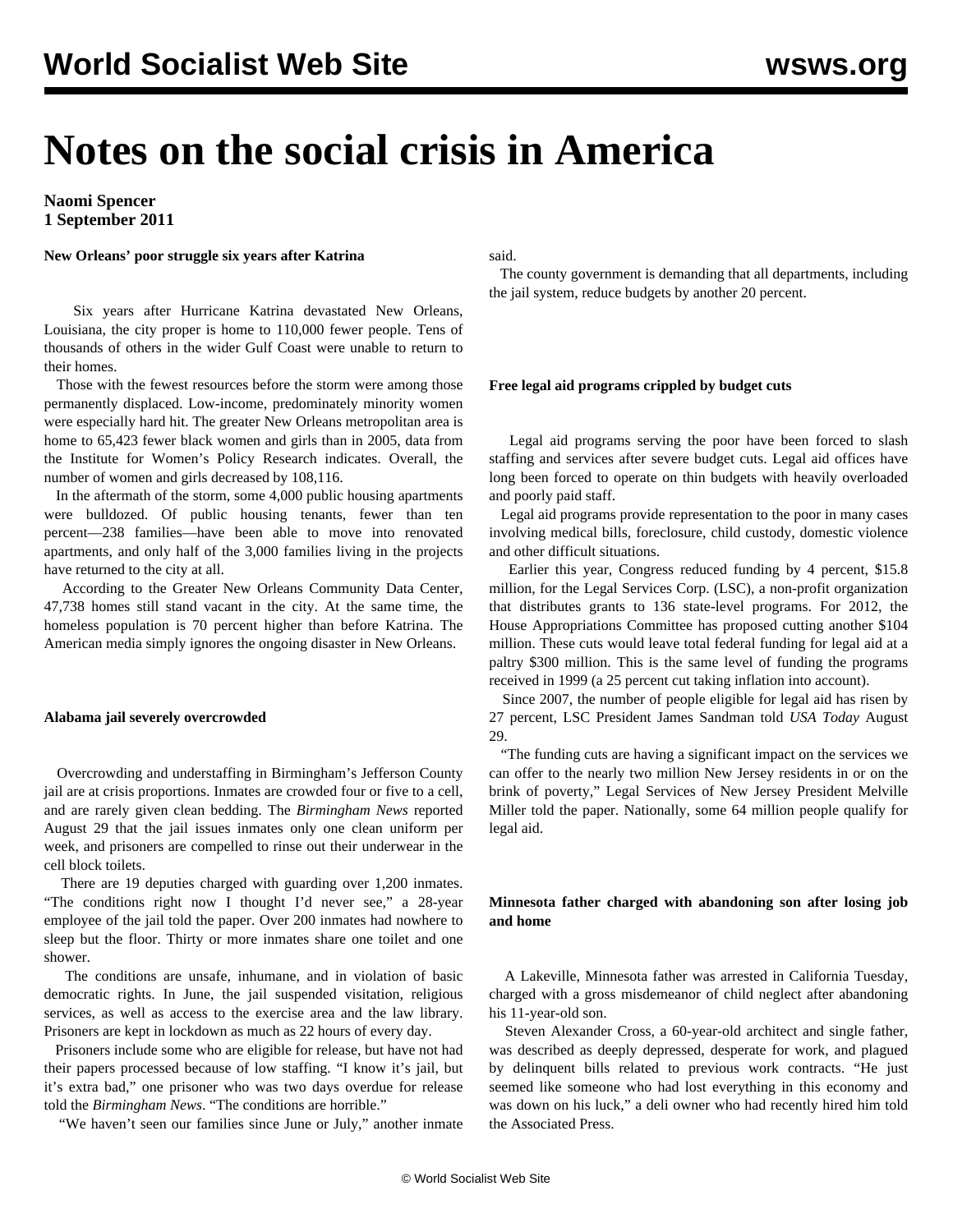# **Notes on the social crisis in America**

**Naomi Spencer 1 September 2011**

**New Orleans' poor struggle six years after Katrina**

 Six years after Hurricane Katrina devastated New Orleans, Louisiana, the city proper is home to 110,000 fewer people. Tens of thousands of others in the wider Gulf Coast were unable to return to their homes.

 Those with the fewest resources before the storm were among those permanently displaced. Low-income, predominately minority women were especially hard hit. The greater New Orleans metropolitan area is home to 65,423 fewer black women and girls than in 2005, data from the Institute for Women's Policy Research indicates. Overall, the number of women and girls decreased by 108,116.

 In the aftermath of the storm, some 4,000 public housing apartments were bulldozed. Of public housing tenants, fewer than ten percent—238 families—have been able to move into renovated apartments, and only half of the 3,000 families living in the projects have returned to the city at all.

 According to the Greater New Orleans Community Data Center, 47,738 homes still stand vacant in the city. At the same time, the homeless population is 70 percent higher than before Katrina. The American media simply ignores the ongoing disaster in New Orleans.

# **Alabama jail severely overcrowded**

 Overcrowding and understaffing in Birmingham's Jefferson County jail are at crisis proportions. Inmates are crowded four or five to a cell, and are rarely given clean bedding. The *Birmingham News* reported August 29 that the jail issues inmates only one clean uniform per week, and prisoners are compelled to rinse out their underwear in the cell block toilets.

 There are 19 deputies charged with guarding over 1,200 inmates. "The conditions right now I thought I'd never see," a 28-year employee of the jail told the paper. Over 200 inmates had nowhere to sleep but the floor. Thirty or more inmates share one toilet and one shower.

 The conditions are unsafe, inhumane, and in violation of basic democratic rights. In June, the jail suspended visitation, religious services, as well as access to the exercise area and the law library. Prisoners are kept in lockdown as much as 22 hours of every day.

 Prisoners include some who are eligible for release, but have not had their papers processed because of low staffing. "I know it's jail, but it's extra bad," one prisoner who was two days overdue for release told the *Birmingham News*. "The conditions are horrible."

"We haven't seen our families since June or July," another inmate

# said.

 The county government is demanding that all departments, including the jail system, reduce budgets by another 20 percent.

## **Free legal aid programs crippled by budget cuts**

 Legal aid programs serving the poor have been forced to slash staffing and services after severe budget cuts. Legal aid offices have long been forced to operate on thin budgets with heavily overloaded and poorly paid staff.

 Legal aid programs provide representation to the poor in many cases involving medical bills, foreclosure, child custody, domestic violence and other difficult situations.

 Earlier this year, Congress reduced funding by 4 percent, \$15.8 million, for the Legal Services Corp. (LSC), a non-profit organization that distributes grants to 136 state-level programs. For 2012, the House Appropriations Committee has proposed cutting another \$104 million. These cuts would leave total federal funding for legal aid at a paltry \$300 million. This is the same level of funding the programs received in 1999 (a 25 percent cut taking inflation into account).

 Since 2007, the number of people eligible for legal aid has risen by 27 percent, LSC President James Sandman told *USA Today* August 29.

 "The funding cuts are having a significant impact on the services we can offer to the nearly two million New Jersey residents in or on the brink of poverty," Legal Services of New Jersey President Melville Miller told the paper. Nationally, some 64 million people qualify for legal aid.

# **Minnesota father charged with abandoning son after losing job and home**

 A Lakeville, Minnesota father was arrested in California Tuesday, charged with a gross misdemeanor of child neglect after abandoning his 11-year-old son.

 Steven Alexander Cross, a 60-year-old architect and single father, was described as deeply depressed, desperate for work, and plagued by delinquent bills related to previous work contracts. "He just seemed like someone who had lost everything in this economy and was down on his luck," a deli owner who had recently hired him told the Associated Press.